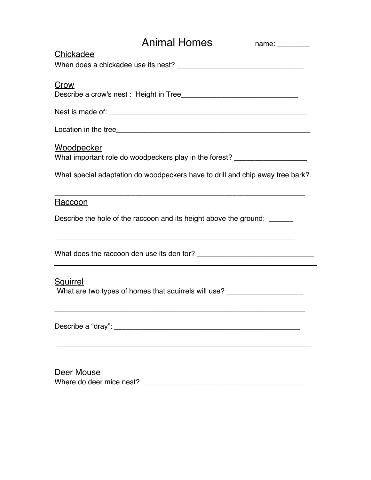| <b>Animal Homes</b><br>name:                                                                          |
|-------------------------------------------------------------------------------------------------------|
| Chickadee                                                                                             |
| Crow                                                                                                  |
|                                                                                                       |
|                                                                                                       |
| <u>Woodpecker</u><br>What important role do woodpeckers play in the forest? _________________________ |
| What special adaptation do woodpeckers have to drill and chip away tree bark?                         |
| <u> 1989 - Johann Stoff, amerikansk politiker (d. 1989)</u><br>Raccoon                                |
| Describe the hole of the raccoon and its height above the ground: ______                              |
| <u> 1989 - Johann Stoff, amerikansk politiker (* 1908)</u>                                            |
| <b>Squirrel</b><br>What are two types of homes that squirrels will use? ___________________________   |
|                                                                                                       |
| Deer Mouse<br>Where do deer mice nest?                                                                |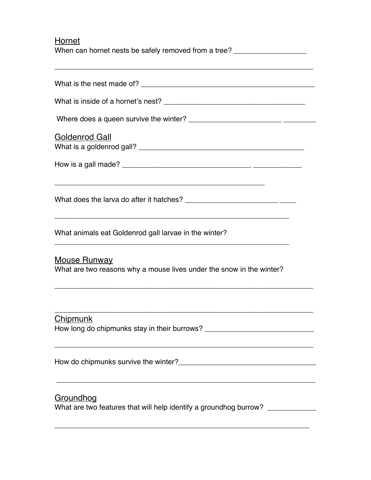| Hornet<br>When can hornet nests be safely removed from a tree? ___________________________                            |
|-----------------------------------------------------------------------------------------------------------------------|
|                                                                                                                       |
|                                                                                                                       |
|                                                                                                                       |
| <b>Goldenrod Gall</b>                                                                                                 |
|                                                                                                                       |
| <u> 1969 - Johann Johann Stoff, deutscher Stoff, der Stoff, der Stoff, der Stoff, der Stoff, der Stoff, der Stoff</u> |
| What animals eat Goldenrod gall larvae in the winter?                                                                 |
| <b>Mouse Runway</b><br>What are two reasons why a mouse lives under the snow in the winter?                           |
| <b>Chipmunk</b><br>How long do chipmunks stay in their burrows? ___________________________________                   |
|                                                                                                                       |
| Groundhog<br>What are two features that will help identify a groundhog burrow? _____________                          |

\_\_\_\_\_\_\_\_\_\_\_\_\_\_\_\_\_\_\_\_\_\_\_\_\_\_\_\_\_\_\_\_\_\_\_\_\_\_\_\_\_\_\_\_\_\_\_\_\_\_\_\_\_\_\_\_\_\_\_\_\_\_\_